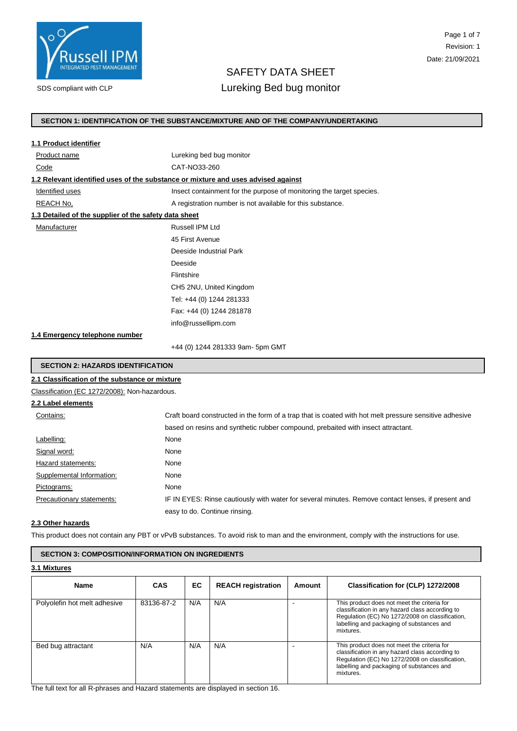

# Page 1 of 7 Revision: 1 Date: 21/09/2021

# SAFETY DATA SHEET

# SDS compliant with CLP **Lureking Bed bug monitor**

# **SECTION 1: IDENTIFICATION OF THE SUBSTANCE/MIXTURE AND OF THE COMPANY/UNDERTAKING**

| 1.1 Product identifier                                |                                                                                                        |  |  |
|-------------------------------------------------------|--------------------------------------------------------------------------------------------------------|--|--|
| Product name                                          | Lureking bed bug monitor                                                                               |  |  |
| Code                                                  | CAT-NO33-260                                                                                           |  |  |
|                                                       | 1.2 Relevant identified uses of the substance or mixture and uses advised against                      |  |  |
| Identified uses                                       | Insect containment for the purpose of monitoring the target species.                                   |  |  |
| REACH No,                                             | A registration number is not available for this substance.                                             |  |  |
| 1.3 Detailed of the supplier of the safety data sheet |                                                                                                        |  |  |
| Manufacturer                                          | Russell IPM Ltd                                                                                        |  |  |
|                                                       | 45 First Avenue                                                                                        |  |  |
|                                                       | Deeside Industrial Park                                                                                |  |  |
|                                                       | Deeside                                                                                                |  |  |
|                                                       | Flintshire                                                                                             |  |  |
|                                                       | CH5 2NU, United Kingdom                                                                                |  |  |
|                                                       | Tel: +44 (0) 1244 281333                                                                               |  |  |
|                                                       | Fax: +44 (0) 1244 281878                                                                               |  |  |
|                                                       | info@russellipm.com                                                                                    |  |  |
| 1.4 Emergency telephone number                        |                                                                                                        |  |  |
|                                                       | +44 (0) 1244 281333 9am- 5pm GMT                                                                       |  |  |
| <b>SECTION 2: HAZARDS IDENTIFICATION</b>              |                                                                                                        |  |  |
| 2.1 Classification of the substance or mixture        |                                                                                                        |  |  |
| Classification (EC 1272/2008): Non-hazardous.         |                                                                                                        |  |  |
| 2.2 Label elements                                    |                                                                                                        |  |  |
| Contains:                                             | Craft board constructed in the form of a trap that is coated with hot melt pressure sensitive adhesive |  |  |
|                                                       | based on resins and synthetic rubber compound, prebaited with insect attractant.                       |  |  |
| Labelling:                                            | None                                                                                                   |  |  |
| Signal word:                                          | None                                                                                                   |  |  |
| $L$ lozoral ototomonto:                               | <b>None</b>                                                                                            |  |  |

| Hazard statements:        | None                                                                                               |
|---------------------------|----------------------------------------------------------------------------------------------------|
| Supplemental Information: | None                                                                                               |
| Pictograms:               | None                                                                                               |
| Precautionary statements: | IF IN EYES: Rinse cautiously with water for several minutes. Remove contact lenses, if present and |
|                           | easy to do. Continue rinsing.                                                                      |

# **2.3 Other hazards**

This product does not contain any PBT or vPvB substances. To avoid risk to man and the environment, comply with the instructions for use.

# **SECTION 3: COMPOSITION/INFORMATION ON INGREDIENTS**

**3.1 Mixtures**

| <b>Name</b>                  | <b>CAS</b> | EC. | <b>REACH registration</b> | Amount | Classification for (CLP) 1272/2008                                                                                                                                                                          |
|------------------------------|------------|-----|---------------------------|--------|-------------------------------------------------------------------------------------------------------------------------------------------------------------------------------------------------------------|
| Polyolefin hot melt adhesive | 83136-87-2 | N/A | N/A                       |        | This product does not meet the criteria for<br>classification in any hazard class according to<br>Regulation (EC) No 1272/2008 on classification,<br>labelling and packaging of substances and<br>mixtures. |
| Bed bug attractant           | N/A        | N/A | N/A                       |        | This product does not meet the criteria for<br>classification in any hazard class according to<br>Regulation (EC) No 1272/2008 on classification,<br>labelling and packaging of substances and<br>mixtures. |

The full text for all R-phrases and Hazard statements are displayed in section 16.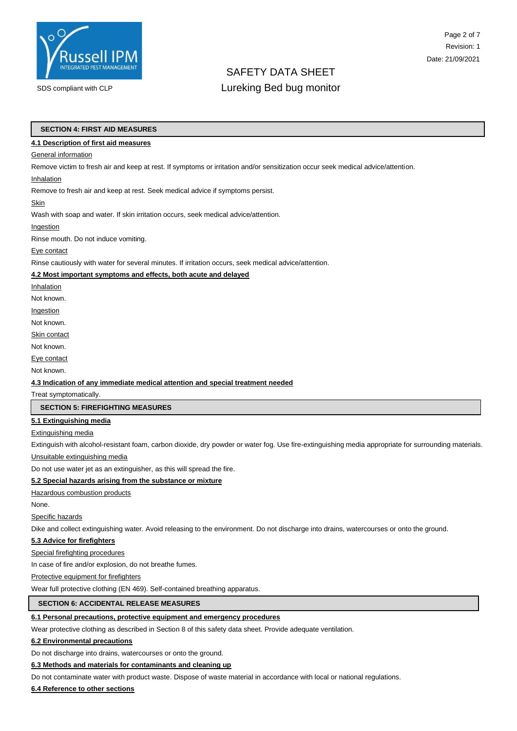

# Page 2 of 7 Revision: 1 Date: 21/09/2021

# SAFETY DATA SHEET

# SDS compliant with CLP **Lureking Bed bug monitor**

### **SECTION 4: FIRST AID MEASURES**

### **4.1 Description of first aid measures**

### **General information**

Remove victim to fresh air and keep at rest. If symptoms or irritation and/or sensitization occur seek medical advice/attention.

### Inhalation

Remove to fresh air and keep at rest. Seek medical advice if symptoms persist.

### **Skin**

Wash with soap and water. If skin irritation occurs, seek medical advice/attention.

#### Ingestion

Rinse mouth. Do not induce vomiting.

### Eye contact

Rinse cautiously with water for several minutes. If irritation occurs, seek medical advice/attention.

### **4.2 Most important symptoms and effects, both acute and delayed**

Inhalation

Not known.

Ingestion

Not known.

**Skin contact** 

Not known.

Eye contact

Not known.

### **4.3 Indication of any immediate medical attention and special treatment needed**

Treat symptomatically.

## **SECTION 5: FIREFIGHTING MEASURES**

## **5.1 Extinguishing media**

### Extinguishing media

Extinguish with alcohol-resistant foam, carbon dioxide, dry powder or water fog. Use fire-extinguishing media appropriate for surrounding materials.

Unsuitable extinguishing media

Do not use water jet as an extinguisher, as this will spread the fire.

### **5.2 Special hazards arising from the substance or mixture**

# **Hazardous combustion products**

None.

## Specific hazards

Dike and collect extinguishing water. Avoid releasing to the environment. Do not discharge into drains, watercourses or onto the ground.

## **5.3 Advice for firefighters**

Special firefighting procedures

In case of fire and/or explosion, do not breathe fumes.

### Protective equipment for firefighters

Wear full protective clothing (EN 469). Self-contained breathing apparatus.

# **SECTION 6: ACCIDENTAL RELEASE MEASURES**

## **6.1 Personal precautions, protective equipment and emergency procedures**

Wear protective clothing as described in Section 8 of this safety data sheet. Provide adequate ventilation.

## **6.2 Environmental precautions**

Do not discharge into drains, watercourses or onto the ground.

## **6.3 Methods and materials for contaminants and cleaning up**

Do not contaminate water with product waste. Dispose of waste material in accordance with local or national regulations.

### **6.4 Reference to other sections**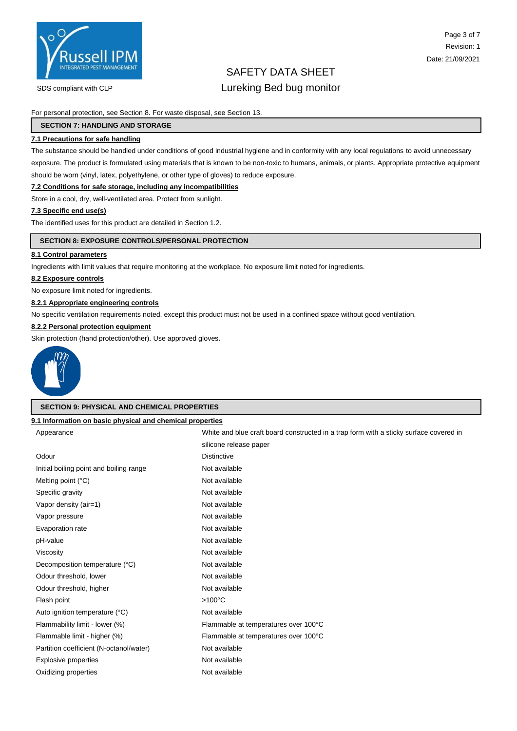

# Page 3 of 7 Revision: 1 Date: 21/09/2021

# SAFETY DATA SHEET

# SDS compliant with CLP **Lureking Bed bug monitor**

For personal protection, see Section 8. For waste disposal, see Section 13.

### **SECTION 7: HANDLING AND STORAGE**

## **7.1 Precautions for safe handling**

The substance should be handled under conditions of good industrial hygiene and in conformity with any local regulations to avoid unnecessary exposure. The product is formulated using materials that is known to be non-toxic to humans, animals, or plants. Appropriate protective equipment should be worn (vinyl, latex, polyethylene, or other type of gloves) to reduce exposure.

### **7.2 Conditions for safe storage, including any incompatibilities**

Store in a cool, dry, well-ventilated area. Protect from sunlight.

### **7.3 Specific end use(s)**

The identified uses for this product are detailed in Section 1.2.

### **SECTION 8: EXPOSURE CONTROLS/PERSONAL PROTECTION**

## **8.1 Control parameters**

Ingredients with limit values that require monitoring at the workplace. No exposure limit noted for ingredients.

### **8.2 Exposure controls**

No exposure limit noted for ingredients.

## **8.2.1 Appropriate engineering controls**

No specific ventilation requirements noted, except this product must not be used in a confined space without good ventilation.

## **8.2.2 Personal protection equipment**

Skin protection (hand protection/other). Use approved gloves.



### **SECTION 9: PHYSICAL AND CHEMICAL PROPERTIES**

### **9.1 Information on basic physical and chemical properties**

| Appearance                              | White and blue craft board constructed in a trap form with a sticky surface covered in |
|-----------------------------------------|----------------------------------------------------------------------------------------|
|                                         | silicone release paper                                                                 |
| Odour                                   | <b>Distinctive</b>                                                                     |
| Initial boiling point and boiling range | Not available                                                                          |
| Melting point $(^{\circ}C)$             | Not available                                                                          |
| Specific gravity                        | Not available                                                                          |
| Vapor density (air=1)                   | Not available                                                                          |
| Vapor pressure                          | Not available                                                                          |
| Evaporation rate                        | Not available                                                                          |
| pH-value                                | Not available                                                                          |
| Viscosity                               | Not available                                                                          |
| Decomposition temperature (°C)          | Not available                                                                          |
| Odour threshold, lower                  | Not available                                                                          |
| Odour threshold, higher                 | Not available                                                                          |
| Flash point                             | $>100^{\circ}$ C                                                                       |
| Auto ignition temperature (°C)          | Not available                                                                          |
| Flammability limit - lower (%)          | Flammable at temperatures over 100°C                                                   |
| Flammable limit - higher (%)            | Flammable at temperatures over 100°C                                                   |
| Partition coefficient (N-octanol/water) | Not available                                                                          |
| <b>Explosive properties</b>             | Not available                                                                          |
| Oxidizing properties                    | Not available                                                                          |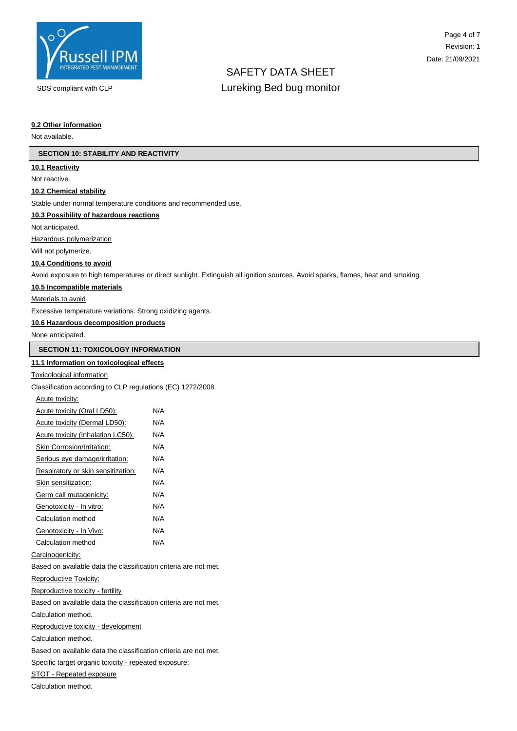

# SAFETY DATA SHEET SDS compliant with CLP **Lureking Bed bug monitor**

### **9.2 Other information**

Not available.

### **SECTION 10: STABILITY AND REACTIVITY**

### **10.1 Reactivity**

Not reactive.

#### **10.2 Chemical stability**

Stable under normal temperature conditions and recommended use.

### **10.3 Possibility of hazardous reactions**

Not anticipated.

Hazardous polymerization

Will not polymerize.

### **10.4 Conditions to avoid**

Avoid exposure to high temperatures or direct sunlight. Extinguish all ignition sources. Avoid sparks, flames, heat and smoking.

#### **10.5 Incompatible materials**

Materials to avoid

Excessive temperature variations. Strong oxidizing agents.

### **10.6 Hazardous decomposition products**

None anticipated.

# **SECTION 11: TOXICOLOGY INFORMATION**

## **11.1 Information on toxicological effects**

### Toxicological information

Classification according to CLP regulations (EC) 1272/2008.

| Acute toxicity: |  |
|-----------------|--|
|                 |  |

| Acute toxicity (Oral LD50):        | N/A |
|------------------------------------|-----|
| Acute toxicity (Dermal LD50):      | N/A |
| Acute toxicity (Inhalation LC50):  | N/A |
| Skin Corrosion/Irritation:         | N/A |
| Serious eye damage/irritation:     | N/A |
| Respiratory or skin sensitization: | N/A |
| Skin sensitization:                | N/A |
| Germ call mutagenicity:            | N/A |
| Genotoxicity - In vitro:           | N/A |
| Calculation method                 | N/A |
| Genotoxicity - In Vivo:            | N/A |
| Calculation method                 | N/A |

#### Carcinogenicity:

Based on available data the classification criteria are not met.

Reproductive Toxicity:

Reproductive toxicity - fertility

Based on available data the classification criteria are not met.

Calculation method.

Reproductive toxicity - development

Calculation method.

Based on available data the classification criteria are not met.

Specific target organic toxicity - repeated exposure:

STOT - Repeated exposure

Calculation method.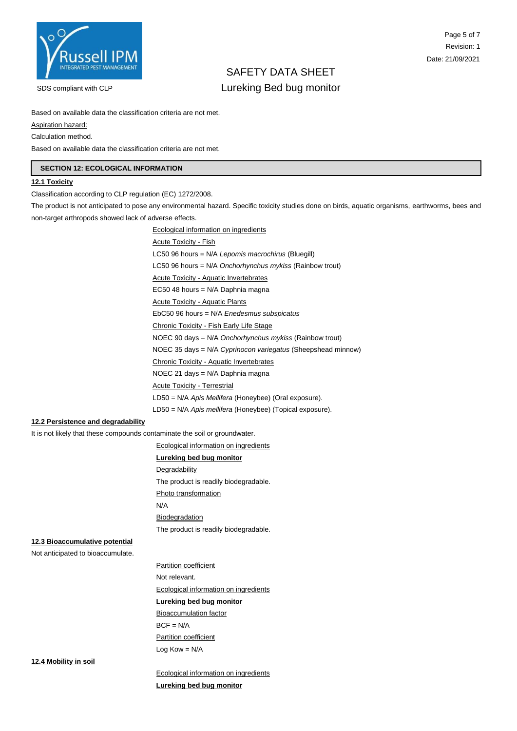

# SAFETY DATA SHEET SDS compliant with CLP **Lureking Bed bug monitor**

Based on available data the classification criteria are not met.

Aspiration hazard:

Calculation method.

Based on available data the classification criteria are not met.

# **SECTION 12: ECOLOGICAL INFORMATION**

# **12.1 Toxicity**

Classification according to CLP regulation (EC) 1272/2008.

The product is not anticipated to pose any environmental hazard. Specific toxicity studies done on birds, aquatic organisms, earthworms, bees and non-target arthropods showed lack of adverse effects.

| <b>Ecological information on ingredients</b>                 |
|--------------------------------------------------------------|
| <b>Acute Toxicity - Fish</b>                                 |
| $LC50$ 96 hours = N/A Lepomis macrochirus (Bluegill)         |
| LC50 96 hours = $N/A$ Onchorhynchus mykiss (Rainbow trout)   |
| <b>Acute Toxicity - Aquatic Invertebrates</b>                |
| EC50 48 hours = N/A Daphnia magna                            |
| <b>Acute Toxicity - Aquatic Plants</b>                       |
| EbC50 96 hours = N/A Enedesmus subspicatus                   |
| Chronic Toxicity - Fish Early Life Stage                     |
| NOEC 90 days = N/A Onchorhynchus mykiss (Rainbow trout)      |
| NOEC 35 days = N/A Cyprinocon variegatus (Sheepshead minnow) |
| Chronic Toxicity - Aquatic Invertebrates                     |
| NOEC 21 days = N/A Daphnia magna                             |
| <b>Acute Toxicity - Terrestrial</b>                          |
| LD50 = N/A Apis Mellifera (Honeybee) (Oral exposure).        |
| LD50 = N/A Apis mellifera (Honeybee) (Topical exposure).     |
|                                                              |

# **12.2 Persistence and degradability**

It is not likely that these compounds contaminate the soil or groundwater.

Ecological information on ingredients

## **Lureking bed bug monitor**

**Degradability** 

The product is readily biodegradable.

Photo transformation

N/A

**Biodegradation** 

The product is readily biodegradable.

# **12.3 Bioaccumulative potential**

Not anticipated to bioaccumulate.

Partition coefficient Not relevant. Ecological information on ingredients **Lureking bed bug monitor**  Bioaccumulation factor  $BCF = N/A$ Partition coefficient

Log Kow = N/A

**12.4 Mobility in soil**

Ecological information on ingredients **Lureking bed bug monitor**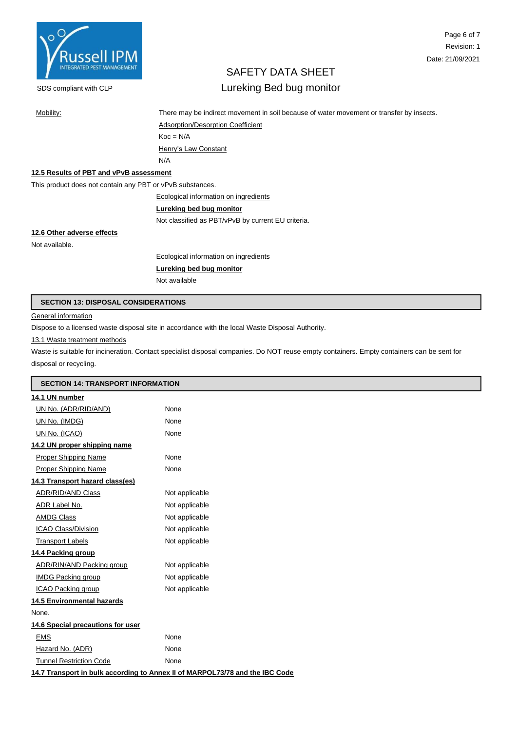

# Page 6 of 7 Revision: 1 Date: 21/09/2021

# SAFETY DATA SHEET

# SDS compliant with CLP **Lureking Bed bug monitor**

Mobility: There may be indirect movement in soil because of water movement or transfer by insects.

Adsorption/Desorption Coefficient  $Koc = N/A$ Henry's Law Constant N/A

# **12.5 Results of PBT and vPvB assessment**

This product does not contain any PBT or vPvB substances.

## Ecological information on ingredients

# **Lureking bed bug monitor**

Not classified as PBT/vPvB by current EU criteria.

# **12.6 Other adverse effects**

Not available.

Ecological information on ingredients

# **Lureking bed bug monitor**

Not available

### **SECTION 13: DISPOSAL CONSIDERATIONS**

**General information** 

Dispose to a licensed waste disposal site in accordance with the local Waste Disposal Authority.

## 13.1 Waste treatment methods

Waste is suitable for incineration. Contact specialist disposal companies. Do NOT reuse empty containers. Empty containers can be sent for disposal or recycling.

| <b>SECTION 14: TRANSPORT INFORMATION</b> |                                                                              |  |
|------------------------------------------|------------------------------------------------------------------------------|--|
| 14.1 UN number                           |                                                                              |  |
| UN No. (ADR/RID/AND)                     | None                                                                         |  |
| UN No. (IMDG)                            | None                                                                         |  |
| UN No. (ICAO)                            | None                                                                         |  |
| 14.2 UN proper shipping name             |                                                                              |  |
| <b>Proper Shipping Name</b>              | None                                                                         |  |
| Proper Shipping Name                     | None                                                                         |  |
| 14.3 Transport hazard class(es)          |                                                                              |  |
| ADR/RID/AND Class                        | Not applicable                                                               |  |
| ADR Label No.                            | Not applicable                                                               |  |
| <b>AMDG Class</b>                        | Not applicable                                                               |  |
| ICAO Class/Division                      | Not applicable                                                               |  |
| <b>Transport Labels</b>                  | Not applicable                                                               |  |
| 14.4 Packing group                       |                                                                              |  |
| ADR/RIN/AND Packing group                | Not applicable                                                               |  |
| <b>IMDG Packing group</b>                | Not applicable                                                               |  |
| ICAO Packing group                       | Not applicable                                                               |  |
| <b>14.5 Environmental hazards</b>        |                                                                              |  |
| None.                                    |                                                                              |  |
| 14.6 Special precautions for user        |                                                                              |  |
| <b>EMS</b>                               | None                                                                         |  |
| Hazard No. (ADR)                         | None                                                                         |  |
| <b>Tunnel Restriction Code</b>           | None                                                                         |  |
|                                          | 14.7 Transport in bulk according to Annex II of MARPOL73/78 and the IBC Code |  |